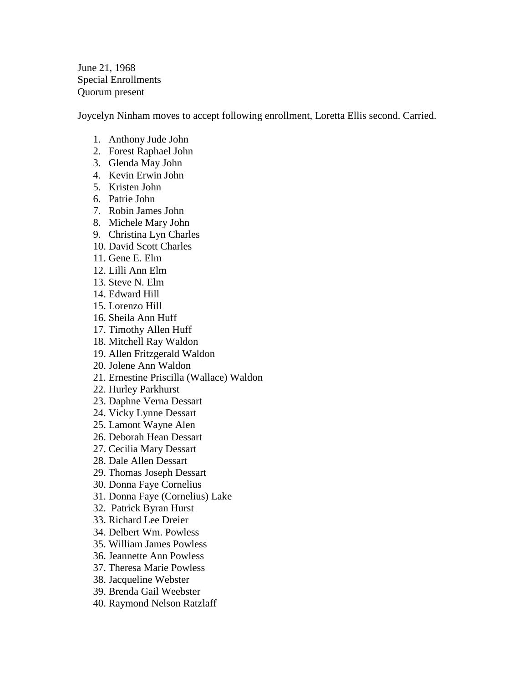June 21, 1968 Special Enrollments Quorum present

Joycelyn Ninham moves to accept following enrollment, Loretta Ellis second. Carried.

- 1. Anthony Jude John
- 2. Forest Raphael John
- 3. Glenda May John
- 4. Kevin Erwin John
- 5. Kristen John
- 6. Patrie John
- 7. Robin James John
- 8. Michele Mary John
- 9. Christina Lyn Charles
- 10. David Scott Charles
- 11. Gene E. Elm
- 12. Lilli Ann Elm
- 13. Steve N. Elm
- 14. Edward Hill
- 15. Lorenzo Hill
- 16. Sheila Ann Huff
- 17. Timothy Allen Huff
- 18. Mitchell Ray Waldon
- 19. Allen Fritzgerald Waldon
- 20. Jolene Ann Waldon
- 21. Ernestine Priscilla (Wallace) Waldon
- 22. Hurley Parkhurst
- 23. Daphne Verna Dessart
- 24. Vicky Lynne Dessart
- 25. Lamont Wayne Alen
- 26. Deborah Hean Dessart
- 27. Cecilia Mary Dessart
- 28. Dale Allen Dessart
- 29. Thomas Joseph Dessart
- 30. Donna Faye Cornelius
- 31. Donna Faye (Cornelius) Lake
- 32. Patrick Byran Hurst
- 33. Richard Lee Dreier
- 34. Delbert Wm. Powless
- 35. William James Powless
- 36. Jeannette Ann Powless
- 37. Theresa Marie Powless
- 38. Jacqueline Webster
- 39. Brenda Gail Weebster
- 40. Raymond Nelson Ratzlaff